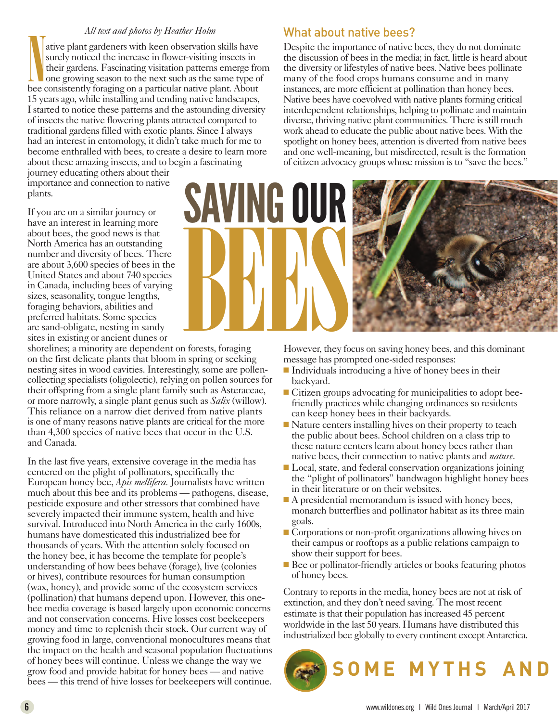## *All text and photos by Heather Holm*

Att lext and photos by Treather Trom<br>attive plant gardeners with keen observation skills have<br>surely noticed the increase in flower-visiting insects in<br>their gardens. Fascinating visitation patterns emerge fro<br>one growing ative plant gardeners with keen observation skills have surely noticed the increase in flower-visiting insects in their gardens. Fascinating visitation patterns emerge from one growing season to the next such as the same type of 15 years ago, while installing and tending native landscapes, I started to notice these patterns and the astounding diversity of insects the native flowering plants attracted compared to traditional gardens filled with exotic plants. Since I always had an interest in entomology, it didn't take much for me to become enthralled with bees, to create a desire to learn more about these amazing insects, and to begin a fascinating

journey educating others about their importance and connection to native plants.

If you are on a similar journey or have an interest in learning more about bees, the good news is that North America has an outstanding number and diversity of bees. There are about 3,600 species of bees in the United States and about 740 species in Canada, including bees of varying sizes, seasonality, tongue lengths, foraging behaviors, abilities and preferred habitats. Some species are sand-obligate, nesting in sandy sites in existing or ancient dunes or

shorelines; a minority are dependent on forests, foraging on the first delicate plants that bloom in spring or seeking nesting sites in wood cavities. Interestingly, some are pollencollecting specialists (oligolectic), relying on pollen sources for their offspring from a single plant family such as Asteraceae, or more narrowly, a single plant genus such as *Salix* (willow). This reliance on a narrow diet derived from native plants is one of many reasons native plants are critical for the more than 4,300 species of native bees that occur in the U.S. and Canada.

In the last five years, extensive coverage in the media has centered on the plight of pollinators, specifically the European honey bee, *Apis mellifera.* Journalists have written much about this bee and its problems — pathogens, disease, pesticide exposure and other stressors that combined have severely impacted their immune system, health and hive survival. Introduced into North America in the early 1600s, humans have domesticated this industrialized bee for thousands of years. With the attention solely focused on the honey bee, it has become the template for people's understanding of how bees behave (forage), live (colonies or hives), contribute resources for human consumption (wax, honey), and provide some of the ecosystem services (pollination) that humans depend upon. However, this onebee media coverage is based largely upon economic concerns and not conservation concerns. Hive losses cost beekeepers money and time to replenish their stock. Our current way of growing food in large, conventional monocultures means that the impact on the health and seasonal population fluctuations of honey bees will continue. Unless we change the way we grow food and provide habitat for honey bees — and native bees — this trend of hive losses for beekeepers will continue.

## What about native bees?

Despite the importance of native bees, they do not dominate the discussion of bees in the media; in fact, little is heard about the diversity or lifestyles of native bees. Native bees pollinate many of the food crops humans consume and in many instances, are more efficient at pollination than honey bees. Native bees have coevolved with native plants forming critical interdependent relationships, helping to pollinate and maintain diverse, thriving native plant communities. There is still much work ahead to educate the public about native bees. With the spotlight on honey bees, attention is diverted from native bees and one well-meaning, but misdirected, result is the formation of citizen advocacy groups whose mission is to "save the bees."



However, they focus on saving honey bees, and this dominant message has prompted one-sided responses:

- $\blacksquare$  Individuals introducing a hive of honey bees in their backyard.
- $\blacksquare$  Citizen groups advocating for municipalities to adopt beefriendly practices while changing ordinances so residents can keep honey bees in their backyards.
- $\blacksquare$  Nature centers installing hives on their property to teach the public about bees. School children on a class trip to these nature centers learn about honey bees rather than native bees, their connection to native plants and *nature*.
- Local, state, and federal conservation organizations joining the "plight of pollinators" bandwagon highlight honey bees in their literature or on their websites.
- $\blacksquare$  A presidential memorandum is issued with honey bees, monarch butterflies and pollinator habitat as its three main goals.
- Corporations or non-profit organizations allowing hives on their campus or rooftops as a public relations campaign to show their support for bees.
- Bee or pollinator-friendly articles or books featuring photos of honey bees.

Contrary to reports in the media, honey bees are not at risk of extinction, and they don't need saving. The most recent estimate is that their population has increased 45 percent worldwide in the last 50 years. Humans have distributed this industrialized bee globally to every continent except Antarctica.

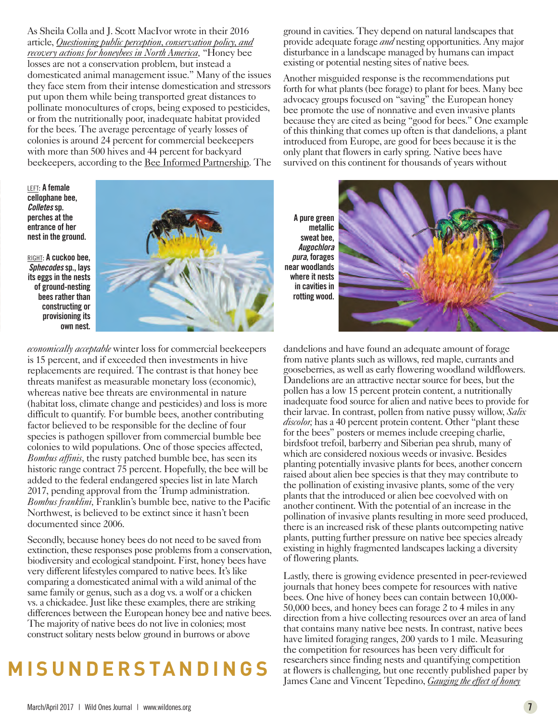As Sheila Colla and J. Scott MacIvor wrote in their 2016 article, *Questioning public perception, conservation policy, and recovery actions for honeybees in North America,* "Honey bee losses are not a conservation problem, but instead a domesticated animal management issue." Many of the issues they face stem from their intense domestication and stressors put upon them while being transported great distances to pollinate monocultures of crops, being exposed to pesticides, or from the nutritionally poor, inadequate habitat provided for the bees. The average percentage of yearly losses of colonies is around 24 percent for commercial beekeepers with more than 500 hives and 44 percent for backyard beekeepers, according to the Bee Informed Partnership. The

LEFT: **A female cellophane bee,** *Colletes***sp. perches at the entrance of her nest in the ground.**

RIGHT: **A cuckoo bee,** *Sphecodes***sp., lays its eggs in the nests of ground-nesting bees rather than constructing or provisioning its own nest.**



*economically acceptable* winter loss for commercial beekeepers is 15 percent, and if exceeded then investments in hive replacements are required. The contrast is that honey bee threats manifest as measurable monetary loss (economic), whereas native bee threats are environmental in nature (habitat loss, climate change and pesticides) and loss is more difficult to quantify. For bumble bees, another contributing factor believed to be responsible for the decline of four species is pathogen spillover from commercial bumble bee colonies to wild populations. One of those species affected, *Bombus affinis,* the rusty patched bumble bee, has seen its historic range contract 75 percent. Hopefully, the bee will be added to the federal endangered species list in late March 2017, pending approval from the Trump administration. *Bombus franklini,* Franklin's bumble bee, native to the Pacific Northwest, is believed to be extinct since it hasn't been documented since 2006.

Secondly, because honey bees do not need to be saved from extinction, these responses pose problems from a conservation, biodiversity and ecological standpoint. First, honey bees have very different lifestyles compared to native bees. It's like comparing a domesticated animal with a wild animal of the same family or genus, such as a dog vs. a wolf or a chicken vs. a chickadee. Just like these examples, there are striking differences between the European honey bee and native bees. The majority of native bees do not live in colonies; most construct solitary nests below ground in burrows or above

## **M I S U N D E R S TA N D I N G S**

ground in cavities. They depend on natural landscapes that provide adequate forage *and* nesting opportunities. Any major disturbance in a landscape managed by humans can impact existing or potential nesting sites of native bees.

Another misguided response is the recommendations put forth for what plants (bee forage) to plant for bees. Many bee advocacy groups focused on "saving" the European honey bee promote the use of nonnative and even invasive plants because they are cited as being "good for bees." One example of this thinking that comes up often is that dandelions, a plant introduced from Europe, are good for bees because it is the only plant that flowers in early spring. Native bees have survived on this continent for thousands of years without

**A pure green metallic sweat bee,** *Augochlora pura***, forages near woodlands where it nests in cavities in rotting wood.**



dandelions and have found an adequate amount of forage from native plants such as willows, red maple, currants and gooseberries, as well as early flowering woodland wildflowers. Dandelions are an attractive nectar source for bees, but the pollen has a low 15 percent protein content, a nutritionally inadequate food source for alien and native bees to provide for their larvae. In contrast, pollen from native pussy willow, *Salix discolor,* has a 40 percent protein content. Other "plant these for the bees" posters or memes include creeping charlie, birdsfoot trefoil, barberry and Siberian pea shrub, many of which are considered noxious weeds or invasive. Besides planting potentially invasive plants for bees, another concern raised about alien bee species is that they may contribute to the pollination of existing invasive plants, some of the very plants that the introduced or alien bee coevolved with on another continent. With the potential of an increase in the pollination of invasive plants resulting in more seed produced, there is an increased risk of these plants outcompeting native plants, putting further pressure on native bee species already existing in highly fragmented landscapes lacking a diversity of flowering plants.

Lastly, there is growing evidence presented in peer-reviewed journals that honey bees compete for resources with native bees. One hive of honey bees can contain between 10,000- 50,000 bees, and honey bees can forage 2 to 4 miles in any direction from a hive collecting resources over an area of land that contains many native bee nests. In contrast, native bees have limited foraging ranges, 200 yards to 1 mile. Measuring the competition for resources has been very difficult for researchers since finding nests and quantifying competition at flowers is challenging, but one recently published paper by James Cane and Vincent Tepedino, *Gauging the effect of honey*